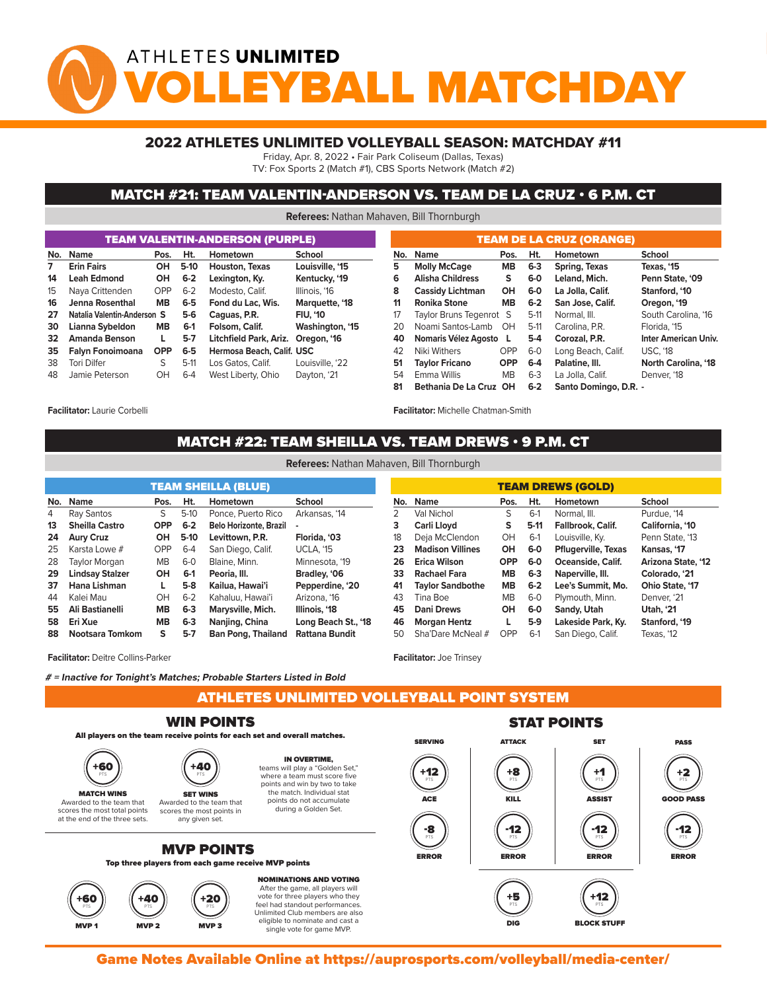# ATHLETES UNLIMITED BALL MATCHDA

### 2022 ATHLETES UNLIMITED VOLLEYBALL SEASON: MATCHDAY #11

Friday, Apr. 8, 2022 • Fair Park Coliseum (Dallas, Texas)

TV: Fox Sports 2 (Match #1), CBS Sports Network (Match #2)

### MATCH #21: TEAM VALENTIN-ANDERSON VS. TEAM DE LA CRUZ • 6 P.M. CT

**Referees:** Nathan Mahaven, Bill Thornburgh

| <b>TEAM VALENTIN-ANDERSON (PURPLE)</b> |                             |            |         |                           |                 |  |  |  |  |  |  |  |  |
|----------------------------------------|-----------------------------|------------|---------|---------------------------|-----------------|--|--|--|--|--|--|--|--|
| No.                                    | Name                        | Pos.       | Ht.     | Hometown                  | School          |  |  |  |  |  |  |  |  |
| $\overline{7}$                         | <b>Erin Fairs</b>           | OН         | $5-10$  | Houston, Texas            | Louisville, '15 |  |  |  |  |  |  |  |  |
| 14                                     | <b>Leah Edmond</b>          | OН         | $6 - 2$ | Lexington, Ky.            | Kentucky, '19   |  |  |  |  |  |  |  |  |
| 15                                     | Naya Crittenden             | OPP        | $6 - 2$ | Modesto, Calif.           | Illinois, '16   |  |  |  |  |  |  |  |  |
| 16                                     | Jenna Rosenthal             | <b>MB</b>  | $6-5$   | Fond du Lac, Wis.         | Marquette, '18  |  |  |  |  |  |  |  |  |
| 27                                     | Natalia Valentin-Anderson S |            | 5-6     | Caguas, P.R.              | <b>FIU, '10</b> |  |  |  |  |  |  |  |  |
| 30                                     | Lianna Sybeldon             | <b>MB</b>  | $6-1$   | Folsom, Calif.            | Washington, '15 |  |  |  |  |  |  |  |  |
| 32                                     | <b>Amanda Benson</b>        | L          | $5-7$   | Litchfield Park, Ariz.    | Oregon, '16     |  |  |  |  |  |  |  |  |
| 35                                     | Falyn Fonoimoana            | <b>OPP</b> | $6-5$   | Hermosa Beach, Calif. USC |                 |  |  |  |  |  |  |  |  |
| 38                                     | <b>Tori Dilfer</b>          | S          | $5-11$  | Los Gatos, Calif.         | Louisville, '22 |  |  |  |  |  |  |  |  |
| 48                                     | Jamie Peterson              | OH         | $6 - 4$ | West Liberty, Ohio        | Dayton, '21     |  |  |  |  |  |  |  |  |

| <b>TEAM DE LA CRUZ (ORANGE)</b> |                                  |            |         |                       |                             |  |  |  |  |  |  |  |  |
|---------------------------------|----------------------------------|------------|---------|-----------------------|-----------------------------|--|--|--|--|--|--|--|--|
| No.                             | <b>Name</b><br>Pos.              |            | Ht.     | Hometown              | School                      |  |  |  |  |  |  |  |  |
| 5                               | <b>Molly McCage</b><br><b>MB</b> |            | $6 - 3$ | Spring, Texas         | Texas, '15                  |  |  |  |  |  |  |  |  |
| 6                               | <b>Alisha Childress</b>          | s          | $6-0$   | Leland, Mich.         | Penn State, '09             |  |  |  |  |  |  |  |  |
| 8                               | <b>Cassidy Lichtman</b>          | OH         | $6-0$   | La Jolla, Calif.      | Stanford, '10               |  |  |  |  |  |  |  |  |
| 11                              | <b>Ronika Stone</b>              | <b>MB</b>  | $6 - 2$ | San Jose, Calif.      | Oregon, '19                 |  |  |  |  |  |  |  |  |
| 17                              | Taylor Bruns Tegenrot S          |            | $5-11$  | Normal, III.          | South Carolina, '16         |  |  |  |  |  |  |  |  |
| 20                              | Noami Santos-Lamb                | 0H         | $5-11$  | Carolina, P.R.        | Florida, '15                |  |  |  |  |  |  |  |  |
| 40                              | Nomaris Vélez Agosto             | L          | $5-4$   | Corozal, P.R.         | <b>Inter American Univ.</b> |  |  |  |  |  |  |  |  |
| 42                              | Niki Withers                     | OPP        | $6-0$   | Long Beach, Calif.    | <b>USC, '18</b>             |  |  |  |  |  |  |  |  |
| 51                              | <b>Taylor Fricano</b>            | <b>OPP</b> | 6-4     | Palatine, III.        | North Carolina, '18         |  |  |  |  |  |  |  |  |
| 54                              | <b>Fmma Willis</b>               | <b>MB</b>  | $6 - 3$ | La Jolla, Calif.      | Denver, '18                 |  |  |  |  |  |  |  |  |
| 81                              | Bethania De La Cruz OH           |            | $6-2$   | Santo Domingo, D.R. - |                             |  |  |  |  |  |  |  |  |

**Facilitator:** Laurie Corbelli

**Facilitator:** Michelle Chatman-Smith

#### MATCH #22: TEAM SHEILLA VS. TEAM DREWS • 9 P.M. CT THE POINT ST

**Referees:** Nathan Mahaven, Bill Thornburgh

| <b>TEAM SHEILLA (BLUE)</b> |                        |            |         |                               |                     |  |  |  |  |  |  |  |
|----------------------------|------------------------|------------|---------|-------------------------------|---------------------|--|--|--|--|--|--|--|
| No.                        | Name                   | Pos.       | Ht.     | Hometown                      | School              |  |  |  |  |  |  |  |
| 4                          | Ray Santos             | S          | $5-10$  | Ponce, Puerto Rico            | Arkansas, '14       |  |  |  |  |  |  |  |
| 13                         | <b>Sheilla Castro</b>  | <b>OPP</b> | $6 - 2$ | <b>Belo Horizonte, Brazil</b> |                     |  |  |  |  |  |  |  |
| 24                         | <b>Aury Cruz</b>       | ΟН         | $5-10$  | Levittown, P.R.               | Florida, '03        |  |  |  |  |  |  |  |
| 25                         | Karsta Lowe #          | OPP        | $6 - 4$ | San Diego, Calif.             | <b>UCLA, '15</b>    |  |  |  |  |  |  |  |
| 28                         | Taylor Morgan          | <b>MB</b>  | $6-0$   | Blaine, Minn.                 | Minnesota, '19      |  |  |  |  |  |  |  |
| 29                         | <b>Lindsay Stalzer</b> | OН         | $6-1$   | Peoria, III.                  | Bradley, '06        |  |  |  |  |  |  |  |
| 37                         | Hana Lishman           | L          | $5-8$   | Kailua, Hawai'i               | Pepperdine, '20     |  |  |  |  |  |  |  |
| 44                         | Kalei Mau              | OH         | $6 - 2$ | Kahaluu, Hawai'i              | Arizona, '16        |  |  |  |  |  |  |  |
| 55                         | Ali Bastianelli        | <b>MB</b>  | $6-3$   | Marysville, Mich.             | Illinois, '18       |  |  |  |  |  |  |  |
| 58                         | Eri Xue                | <b>MB</b>  | $6-3$   | Nanjing, China                | Long Beach St., '18 |  |  |  |  |  |  |  |
| 88                         | Nootsara Tomkom        | s          | $5-7$   | <b>Ban Pong, Thailand</b>     | Rattana Bundit      |  |  |  |  |  |  |  |

| <b>TEAM DREWS (GOLD)</b> |                         |            |         |                            |                    |  |  |  |  |  |  |  |  |
|--------------------------|-------------------------|------------|---------|----------------------------|--------------------|--|--|--|--|--|--|--|--|
| No.                      | <b>Name</b>             | Pos.       | Ht.     | <b>Hometown</b>            | School             |  |  |  |  |  |  |  |  |
| 2                        | Val Nichol              | S          | $6-1$   | Normal. III.               | Purdue, '14        |  |  |  |  |  |  |  |  |
| 3                        | Carli Lloyd             | S          | $5-11$  | <b>Fallbrook, Calif.</b>   | California, '10    |  |  |  |  |  |  |  |  |
| 18                       | Deja McClendon          | OH         | $6-1$   | Louisville, Ky.            | Penn State, '13    |  |  |  |  |  |  |  |  |
| 23                       | <b>Madison Villines</b> | OН         | 6-0     | <b>Pflugerville, Texas</b> | Kansas, '17        |  |  |  |  |  |  |  |  |
| 26                       | Erica Wilson            | <b>OPP</b> | $6-0$   | Oceanside, Calif.          | Arizona State, '12 |  |  |  |  |  |  |  |  |
| 33                       | <b>Rachael Fara</b>     | <b>MB</b>  | $6 - 3$ | Naperville, III.           | Colorado. '21      |  |  |  |  |  |  |  |  |
| 41                       | <b>Taylor Sandbothe</b> | <b>MB</b>  | $6 - 2$ | Lee's Summit, Mo.          | Ohio State, '17    |  |  |  |  |  |  |  |  |
| 43                       | Tina Boe                | <b>MB</b>  | $6-0$   | Plymouth, Minn.            | Denver, '21        |  |  |  |  |  |  |  |  |
| 45                       | <b>Dani Drews</b>       | OН         | 6-0     | Sandy, Utah                | <b>Utah, '21</b>   |  |  |  |  |  |  |  |  |
| 46                       | <b>Morgan Hentz</b>     |            | 5-9     | Lakeside Park, Ky.         | Stanford, '19      |  |  |  |  |  |  |  |  |
| 50                       | Sha'Dare McNeal #       | OPP        | $6-1$   | San Diego, Calif.          | Texas, '12         |  |  |  |  |  |  |  |  |

single vote for game MVP.

**Facilitator:** Deitre Collins-Parker

**# = Inactive for Tonight's Matches; Probable Starters Listed in Bold**

ATHLETES UNLIMITED VOLLEYBALL POINT SYSTEM MVP 2 MVP 2 MVP 3 MVP 3 MVP 3 MVP 3 MVP 3 MVP 3 MVP 3 MVP 3 MVP 3 MVP 3 MVP 3 MVP 3 MVP 3 MVP 3 MVP 3 MVP 3 MV

**Facilitator:** Joe Trinsey



Game Notes Available Online at https://auprosports.com/volleyball/media-center/<br>.